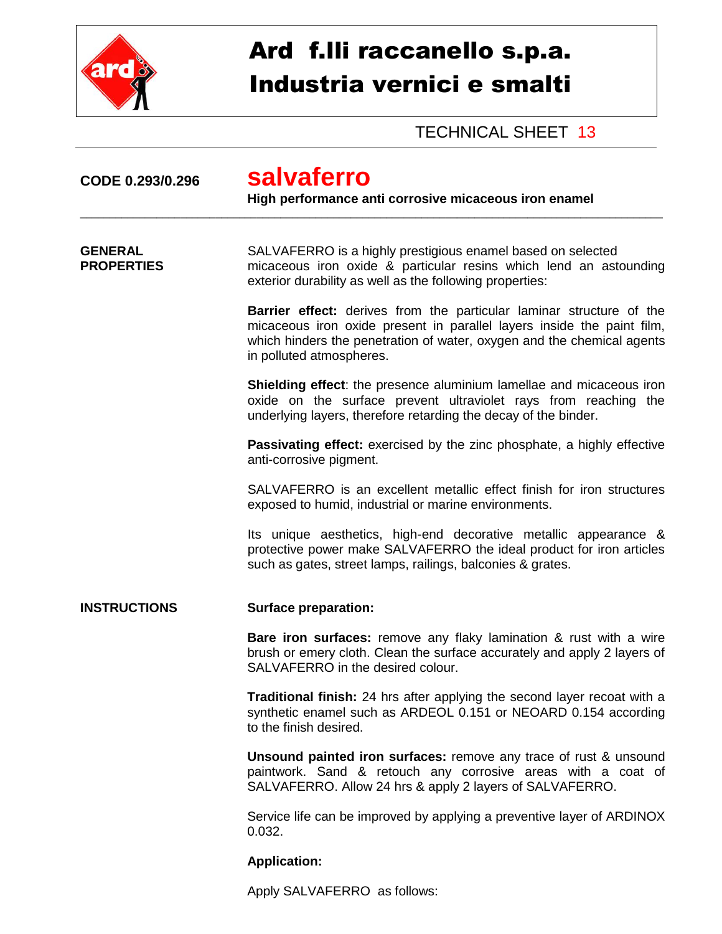

## Ard f.lli raccanello s.p.a. Industria vernici e smalti

## TECHNICAL SHEET 13

| CODE 0.293/0.296                    | salvaferro<br>High performance anti corrosive micaceous iron enamel                                                                                                                                                                                  |
|-------------------------------------|------------------------------------------------------------------------------------------------------------------------------------------------------------------------------------------------------------------------------------------------------|
| <b>GENERAL</b><br><b>PROPERTIES</b> | SALVAFERRO is a highly prestigious enamel based on selected<br>micaceous iron oxide & particular resins which lend an astounding<br>exterior durability as well as the following properties:                                                         |
|                                     | Barrier effect: derives from the particular laminar structure of the<br>micaceous iron oxide present in parallel layers inside the paint film,<br>which hinders the penetration of water, oxygen and the chemical agents<br>in polluted atmospheres. |
|                                     | <b>Shielding effect:</b> the presence aluminium lamellae and micaceous iron<br>oxide on the surface prevent ultraviolet rays from reaching the<br>underlying layers, therefore retarding the decay of the binder.                                    |
|                                     | <b>Passivating effect:</b> exercised by the zinc phosphate, a highly effective<br>anti-corrosive pigment.                                                                                                                                            |
|                                     | SALVAFERRO is an excellent metallic effect finish for iron structures<br>exposed to humid, industrial or marine environments.                                                                                                                        |
|                                     | Its unique aesthetics, high-end decorative metallic appearance &<br>protective power make SALVAFERRO the ideal product for iron articles<br>such as gates, street lamps, railings, balconies & grates.                                               |
| <b>INSTRUCTIONS</b>                 | <b>Surface preparation:</b>                                                                                                                                                                                                                          |
|                                     | <b>Bare iron surfaces:</b> remove any flaky lamination & rust with a wire<br>brush or emery cloth. Clean the surface accurately and apply 2 layers of<br>SALVAFERRO in the desired colour.                                                           |
|                                     | Traditional finish: 24 hrs after applying the second layer recoat with a<br>synthetic enamel such as ARDEOL 0.151 or NEOARD 0.154 according<br>to the finish desired.                                                                                |
|                                     | <b>Unsound painted iron surfaces:</b> remove any trace of rust & unsound<br>paintwork. Sand & retouch any corrosive areas with a coat of<br>SALVAFERRO. Allow 24 hrs & apply 2 layers of SALVAFERRO.                                                 |
|                                     | Service life can be improved by applying a preventive layer of ARDINOX<br>0.032.                                                                                                                                                                     |
|                                     | <b>Application:</b>                                                                                                                                                                                                                                  |

Apply SALVAFERRO as follows: